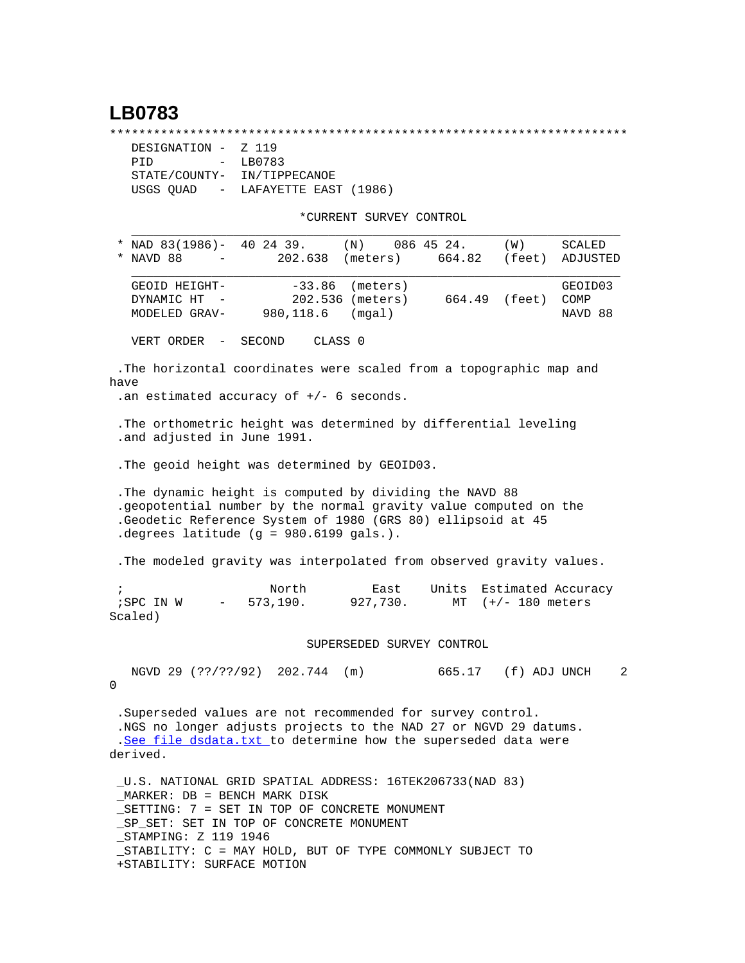## **LB0783**

\*\*\*\*\*\*\*\*\*\*\*\*\*\*\*\*\*\*\*\*\*\*\*\*\*\*\*\*\*\*\*\*\*\*\*\*\*\*\*\*\*\*\*\*\*\*\*\*\*\*\*\*\*\*\*\*\*\*\*\*\*\*\*\*\*\*\*\*\*\*\*

| DESIGNATION - Z 119 |                                   |
|---------------------|-----------------------------------|
| PTD                 | - LB0783                          |
|                     | STATE/COUNTY- IN/TIPPECANOE       |
|                     | USGS OUAD - LAFAYETTE EAST (1986) |

+STABILITY: SURFACE MOTION

\*CURRENT SURVEY CONTROL

| * NAD 83(1986)- 40 24 39.                                                                                                                                                                                                            |                                                          | (N)                                             |                  | 086 45 24.          | (W)               | SCALED                     |
|--------------------------------------------------------------------------------------------------------------------------------------------------------------------------------------------------------------------------------------|----------------------------------------------------------|-------------------------------------------------|------------------|---------------------|-------------------|----------------------------|
| NAVD 88                                                                                                                                                                                                                              |                                                          | 202.638                                         | (meters)         | 664.82              | (feet)            | ADJUSTED                   |
| GEOID HEIGHT-<br>DYNAMIC HT -<br>MODELED GRAV-                                                                                                                                                                                       | 980,118.6                                                | $-33.86$ (meters)<br>202.536 (meters)<br>(mqal) |                  | 664.49 (feet)       |                   | GEOID03<br>COMP<br>NAVD 88 |
| VERT ORDER -                                                                                                                                                                                                                         | SECOND                                                   | CLASS 0                                         |                  |                     |                   |                            |
| The horizontal coordinates were scaled from a topographic map and<br>have                                                                                                                                                            |                                                          |                                                 |                  |                     |                   |                            |
| .an estimated accuracy of $+/-$ 6 seconds.                                                                                                                                                                                           |                                                          |                                                 |                  |                     |                   |                            |
| . The orthometric height was determined by differential leveling<br>.and adjusted in June 1991.                                                                                                                                      |                                                          |                                                 |                  |                     |                   |                            |
| . The geoid height was determined by GEOID03.                                                                                                                                                                                        |                                                          |                                                 |                  |                     |                   |                            |
| The dynamic height is computed by dividing the NAVD 88<br>.geopotential number by the normal gravity value computed on the<br>.Geodetic Reference System of 1980 (GRS 80) ellipsoid at 45<br>.degrees latitude (g = 980.6199 gals.). |                                                          |                                                 |                  |                     |                   |                            |
| . The modeled gravity was interpolated from observed gravity values.                                                                                                                                                                 |                                                          |                                                 |                  |                     |                   |                            |
| $\ddot{i}$<br>; SPC IN W<br>Scaled)                                                                                                                                                                                                  | North<br>573,190.<br>$\sim$ 100 $\mu$                    |                                                 | East<br>927,730. | Units<br>MT         | $(+/- 180$ meters | Estimated Accuracy         |
|                                                                                                                                                                                                                                      |                                                          | SUPERSEDED SURVEY CONTROL                       |                  |                     |                   |                            |
| 0                                                                                                                                                                                                                                    | NGVD 29 (??/??/92) 202.744 (m)                           |                                                 |                  | 665.17 (f) ADJ UNCH |                   | 2                          |
| . Superseded values are not recommended for survey control.<br>.NGS no longer adjusts projects to the NAD 27 or NGVD 29 datums.<br>.See file dsdata.txt to determine how the superseded data were<br>derived.                        |                                                          |                                                 |                  |                     |                   |                            |
| U.S. NATIONAL GRID SPATIAL ADDRESS: 16TEK206733(NAD 83)<br>_MARKER: DB = BENCH MARK DISK<br>_SETTING: 7 = SET IN TOP OF CONCRETE MONUMENT<br>_SP_SET: SET IN TOP OF CONCRETE MONUMENT<br>_STAMPING: Z 119 1946                       | STABILITY: C = MAY HOLD, BUT OF TYPE COMMONLY SUBJECT TO |                                                 |                  |                     |                   |                            |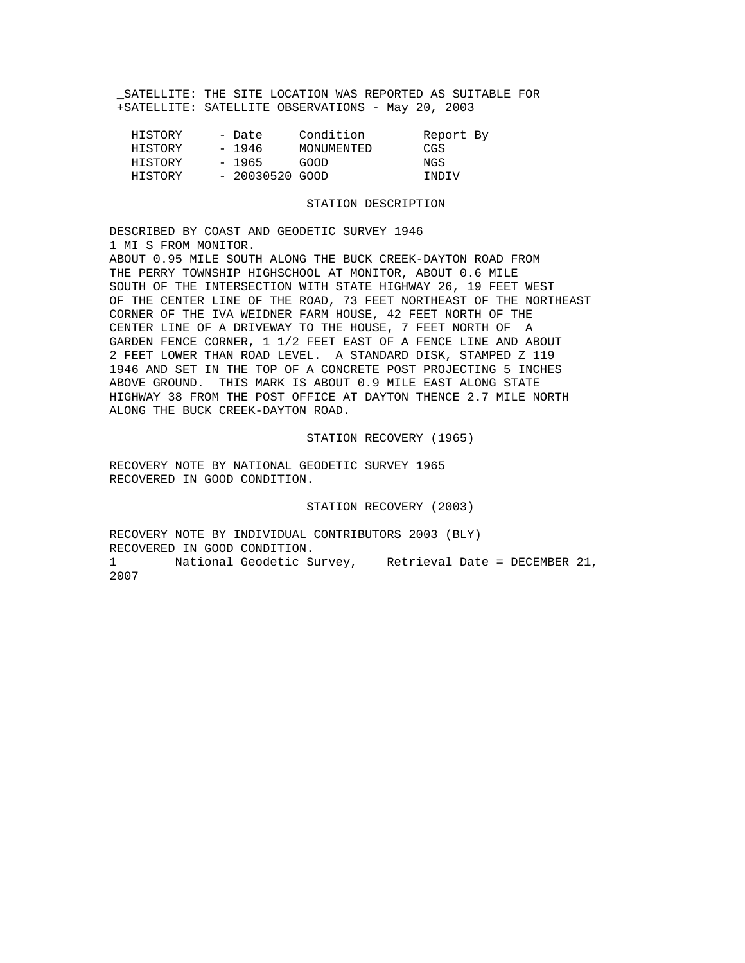SATELLITE: THE SITE LOCATION WAS REPORTED AS SUITABLE FOR +SATELLITE: SATELLITE OBSERVATIONS - May 20, 2003

| HISTORY | - Date           | Condition  | Report By |  |
|---------|------------------|------------|-----------|--|
| HISTORY | - 1946           | MONUMENTED | CGS       |  |
| HISTORY | $-1965$          | GOOD       | NGS       |  |
| HISTORY | $-20030520$ GOOD |            | INDIV     |  |

## STATION DESCRIPTION

DESCRIBED BY COAST AND GEODETIC SURVEY 1946 1 MI S FROM MONITOR. ABOUT 0.95 MILE SOUTH ALONG THE BUCK CREEK-DAYTON ROAD FROM THE PERRY TOWNSHIP HIGHSCHOOL AT MONITOR, ABOUT 0.6 MILE SOUTH OF THE INTERSECTION WITH STATE HIGHWAY 26, 19 FEET WEST OF THE CENTER LINE OF THE ROAD, 73 FEET NORTHEAST OF THE NORTHEAST CORNER OF THE IVA WEIDNER FARM HOUSE, 42 FEET NORTH OF THE CENTER LINE OF A DRIVEWAY TO THE HOUSE, 7 FEET NORTH OF A GARDEN FENCE CORNER, 1 1/2 FEET EAST OF A FENCE LINE AND ABOUT 2 FEET LOWER THAN ROAD LEVEL. A STANDARD DISK, STAMPED Z 119 1946 AND SET IN THE TOP OF A CONCRETE POST PROJECTING 5 INCHES ABOVE GROUND. THIS MARK IS ABOUT 0.9 MILE EAST ALONG STATE HIGHWAY 38 FROM THE POST OFFICE AT DAYTON THENCE 2.7 MILE NORTH ALONG THE BUCK CREEK-DAYTON ROAD.

## STATION RECOVERY (1965)

RECOVERY NOTE BY NATIONAL GEODETIC SURVEY 1965 RECOVERED IN GOOD CONDITION.

STATION RECOVERY (2003)

RECOVERY NOTE BY INDIVIDUAL CONTRIBUTORS 2003 (BLY) RECOVERED IN GOOD CONDITION. 1 National Geodetic Survey, Retrieval Date = DECEMBER 21, 2007